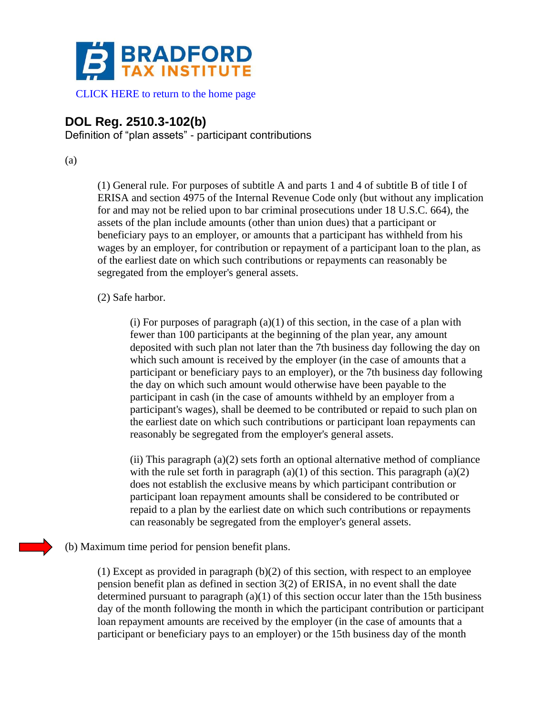

[CLICK HERE to return to the home page](http://www.bradfordtaxinstitute.com)

## **DOL Reg. 2510.3-102(b)**

Definition of "plan assets" - participant contributions

(a)

(1) General rule. For purposes of subtitle A and parts 1 and 4 of subtitle B of title I of ERISA and section 4975 of the Internal Revenue Code only (but without any implication for and may not be relied upon to bar criminal prosecutions under 18 U.S.C. 664), the assets of the plan include amounts (other than union dues) that a participant or beneficiary pays to an employer, or amounts that a participant has withheld from his wages by an employer, for contribution or repayment of a participant loan to the plan, as of the earliest date on which such contributions or repayments can reasonably be segregated from the employer's general assets.

## (2) Safe harbor.

(i) For purposes of paragraph  $(a)(1)$  of this section, in the case of a plan with fewer than 100 participants at the beginning of the plan year, any amount deposited with such plan not later than the 7th business day following the day on which such amount is received by the employer (in the case of amounts that a participant or beneficiary pays to an employer), or the 7th business day following the day on which such amount would otherwise have been payable to the participant in cash (in the case of amounts withheld by an employer from a participant's wages), shall be deemed to be contributed or repaid to such plan on the earliest date on which such contributions or participant loan repayments can reasonably be segregated from the employer's general assets.

(ii) This paragraph (a)(2) sets forth an optional alternative method of compliance with the rule set forth in paragraph  $(a)(1)$  of this section. This paragraph  $(a)(2)$ does not establish the exclusive means by which participant contribution or participant loan repayment amounts shall be considered to be contributed or repaid to a plan by the earliest date on which such contributions or repayments can reasonably be segregated from the employer's general assets.

(b) Maximum time period for pension benefit plans.

 $(1)$  Except as provided in paragraph  $(b)(2)$  of this section, with respect to an employee pension benefit plan as defined in section 3(2) of ERISA, in no event shall the date determined pursuant to paragraph (a)(1) of this section occur later than the 15th business day of the month following the month in which the participant contribution or participant loan repayment amounts are received by the employer (in the case of amounts that a participant or beneficiary pays to an employer) or the 15th business day of the month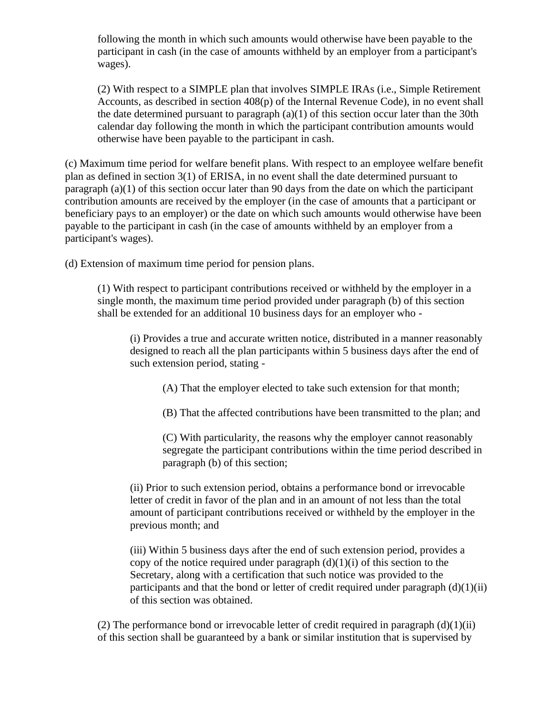following the month in which such amounts would otherwise have been payable to the participant in cash (in the case of amounts withheld by an employer from a participant's wages).

(2) With respect to a SIMPLE plan that involves SIMPLE IRAs (i.e., Simple Retirement Accounts, as described in section 408(p) of the Internal Revenue Code), in no event shall the date determined pursuant to paragraph  $(a)(1)$  of this section occur later than the 30th calendar day following the month in which the participant contribution amounts would otherwise have been payable to the participant in cash.

(c) Maximum time period for welfare benefit plans. With respect to an employee welfare benefit plan as defined in section 3(1) of ERISA, in no event shall the date determined pursuant to paragraph (a)(1) of this section occur later than 90 days from the date on which the participant contribution amounts are received by the employer (in the case of amounts that a participant or beneficiary pays to an employer) or the date on which such amounts would otherwise have been payable to the participant in cash (in the case of amounts withheld by an employer from a participant's wages).

(d) Extension of maximum time period for pension plans.

(1) With respect to participant contributions received or withheld by the employer in a single month, the maximum time period provided under paragraph (b) of this section shall be extended for an additional 10 business days for an employer who -

(i) Provides a true and accurate written notice, distributed in a manner reasonably designed to reach all the plan participants within 5 business days after the end of such extension period, stating -

(A) That the employer elected to take such extension for that month;

(B) That the affected contributions have been transmitted to the plan; and

(C) With particularity, the reasons why the employer cannot reasonably segregate the participant contributions within the time period described in paragraph (b) of this section;

(ii) Prior to such extension period, obtains a performance bond or irrevocable letter of credit in favor of the plan and in an amount of not less than the total amount of participant contributions received or withheld by the employer in the previous month; and

(iii) Within 5 business days after the end of such extension period, provides a copy of the notice required under paragraph  $(d)(1)(i)$  of this section to the Secretary, along with a certification that such notice was provided to the participants and that the bond or letter of credit required under paragraph  $(d)(1)(ii)$ of this section was obtained.

(2) The performance bond or irrevocable letter of credit required in paragraph  $(d)(1)(ii)$ of this section shall be guaranteed by a bank or similar institution that is supervised by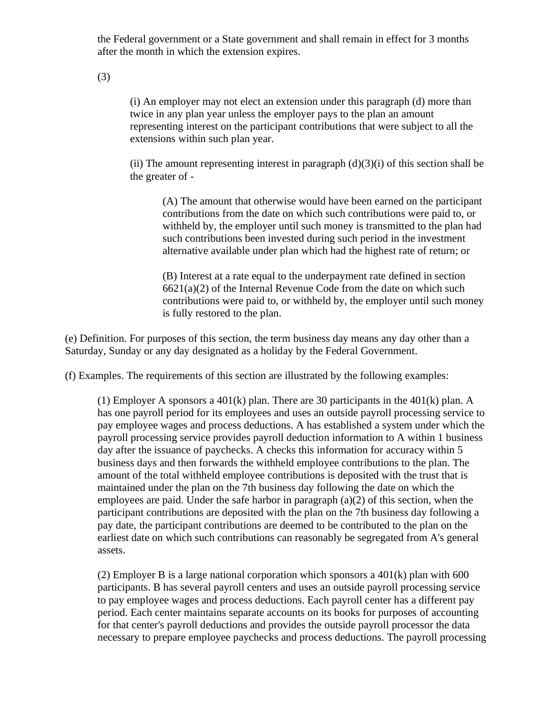the Federal government or a State government and shall remain in effect for 3 months after the month in which the extension expires.

(3)

(i) An employer may not elect an extension under this paragraph (d) more than twice in any plan year unless the employer pays to the plan an amount representing interest on the participant contributions that were subject to all the extensions within such plan year.

(ii) The amount representing interest in paragraph  $(d)(3)(i)$  of this section shall be the greater of -

(A) The amount that otherwise would have been earned on the participant contributions from the date on which such contributions were paid to, or withheld by, the employer until such money is transmitted to the plan had such contributions been invested during such period in the investment alternative available under plan which had the highest rate of return; or

(B) Interest at a rate equal to the underpayment rate defined in section  $6621(a)(2)$  of the Internal Revenue Code from the date on which such contributions were paid to, or withheld by, the employer until such money is fully restored to the plan.

(e) Definition. For purposes of this section, the term business day means any day other than a Saturday, Sunday or any day designated as a holiday by the Federal Government.

(f) Examples. The requirements of this section are illustrated by the following examples:

(1) Employer A sponsors a  $401(k)$  plan. There are 30 participants in the  $401(k)$  plan. A has one payroll period for its employees and uses an outside payroll processing service to pay employee wages and process deductions. A has established a system under which the payroll processing service provides payroll deduction information to A within 1 business day after the issuance of paychecks. A checks this information for accuracy within 5 business days and then forwards the withheld employee contributions to the plan. The amount of the total withheld employee contributions is deposited with the trust that is maintained under the plan on the 7th business day following the date on which the employees are paid. Under the safe harbor in paragraph (a)(2) of this section, when the participant contributions are deposited with the plan on the 7th business day following a pay date, the participant contributions are deemed to be contributed to the plan on the earliest date on which such contributions can reasonably be segregated from A's general assets.

(2) Employer B is a large national corporation which sponsors a  $401(k)$  plan with 600 participants. B has several payroll centers and uses an outside payroll processing service to pay employee wages and process deductions. Each payroll center has a different pay period. Each center maintains separate accounts on its books for purposes of accounting for that center's payroll deductions and provides the outside payroll processor the data necessary to prepare employee paychecks and process deductions. The payroll processing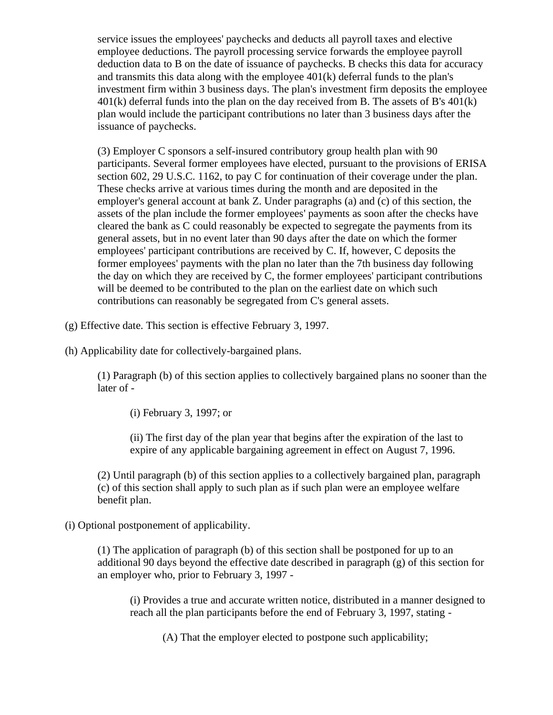service issues the employees' paychecks and deducts all payroll taxes and elective employee deductions. The payroll processing service forwards the employee payroll deduction data to B on the date of issuance of paychecks. B checks this data for accuracy and transmits this data along with the employee 401(k) deferral funds to the plan's investment firm within 3 business days. The plan's investment firm deposits the employee  $401(k)$  deferral funds into the plan on the day received from B. The assets of B's  $401(k)$ plan would include the participant contributions no later than 3 business days after the issuance of paychecks.

(3) Employer C sponsors a self-insured contributory group health plan with 90 participants. Several former employees have elected, pursuant to the provisions of ERISA section 602, 29 U.S.C. 1162, to pay C for continuation of their coverage under the plan. These checks arrive at various times during the month and are deposited in the employer's general account at bank Z. Under paragraphs (a) and (c) of this section, the assets of the plan include the former employees' payments as soon after the checks have cleared the bank as C could reasonably be expected to segregate the payments from its general assets, but in no event later than 90 days after the date on which the former employees' participant contributions are received by C. If, however, C deposits the former employees' payments with the plan no later than the 7th business day following the day on which they are received by C, the former employees' participant contributions will be deemed to be contributed to the plan on the earliest date on which such contributions can reasonably be segregated from C's general assets.

(g) Effective date. This section is effective February 3, 1997.

(h) Applicability date for collectively-bargained plans.

(1) Paragraph (b) of this section applies to collectively bargained plans no sooner than the later of -

(i) February 3, 1997; or

(ii) The first day of the plan year that begins after the expiration of the last to expire of any applicable bargaining agreement in effect on August 7, 1996.

(2) Until paragraph (b) of this section applies to a collectively bargained plan, paragraph (c) of this section shall apply to such plan as if such plan were an employee welfare benefit plan.

(i) Optional postponement of applicability.

(1) The application of paragraph (b) of this section shall be postponed for up to an additional 90 days beyond the effective date described in paragraph (g) of this section for an employer who, prior to February 3, 1997 -

(i) Provides a true and accurate written notice, distributed in a manner designed to reach all the plan participants before the end of February 3, 1997, stating -

(A) That the employer elected to postpone such applicability;